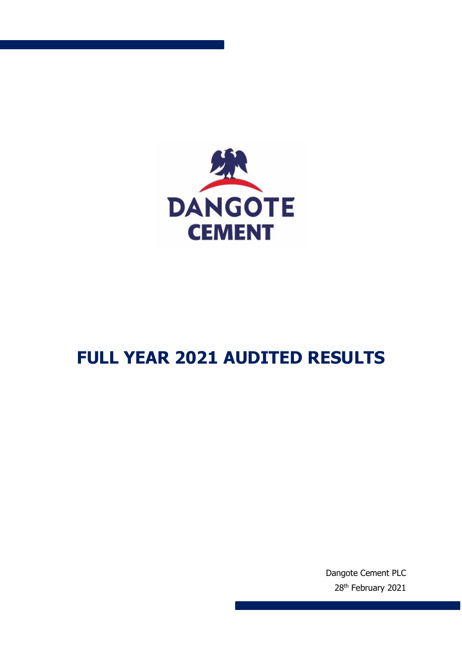

# **FULL YEAR 2021 AUDITED RESULTS**

Dangote Cement PLC 28<sup>th</sup> February 2021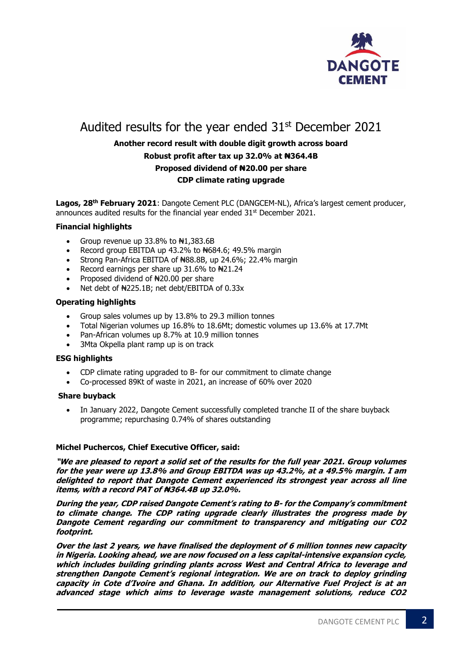

# Audited results for the year ended  $31<sup>st</sup>$  December 2021

# **Another record result with double digit growth across board Robust profit after tax up 32.0% at ₦364.4B Proposed dividend of ₦20.00 per share CDP climate rating upgrade**

Lagos, 28<sup>th</sup> February 2021: Dangote Cement PLC (DANGCEM-NL), Africa's largest cement producer, announces audited results for the financial year ended 31<sup>st</sup> December 2021.

# **Financial highlights**

- Group revenue up  $33.8\%$  to  $\text{H1},383.6\text{B}$
- Record group EBITDA up 43.2% to N684.6; 49.5% margin
- Strong Pan-Africa EBITDA of N88.8B, up 24.6%; 22.4% margin
- Record earnings per share up  $31.6\%$  to  $\text{H}21.24$
- Proposed dividend of ₦20.00 per share
- Net debt of  $\frac{1}{2}$ 25.1B; net debt/EBITDA of 0.33x

#### **Operating highlights**

- Group sales volumes up by 13.8% to 29.3 million tonnes
- Total Nigerian volumes up 16.8% to 18.6Mt; domestic volumes up 13.6% at 17.7Mt
- Pan-African volumes up 8.7% at 10.9 million tonnes
- 3Mta Okpella plant ramp up is on track

# **ESG highlights**

- CDP climate rating upgraded to B- for our commitment to climate change
- Co-processed 89Kt of waste in 2021, an increase of 60% over 2020

#### **Share buyback**

 In January 2022, Dangote Cement successfully completed tranche II of the share buyback programme; repurchasing 0.74% of shares outstanding

#### **Michel Puchercos, Chief Executive Officer, said:**

**"We are pleased to report a solid set of the results for the full year 2021. Group volumes for the year were up 13.8% and Group EBITDA was up 43.2%, at a 49.5% margin. I am delighted to report that Dangote Cement experienced its strongest year across all line items, with a record PAT of ₦364.4B up 32.0%.**

**During the year, CDP raised Dangote Cement's rating to B- for the Company's commitment to climate change. The CDP rating upgrade clearly illustrates the progress made by Dangote Cement regarding our commitment to transparency and mitigating our CO2 footprint.**

**Over the last 2 years, we have finalised the deployment of 6 million tonnes new capacity in Nigeria. Looking ahead, we are now focused on a less capital-intensive expansion cycle, which includes building grinding plants across West and Central Africa to leverage and strengthen Dangote Cement's regional integration. We are on track to deploy grinding capacity in Cote d'Ivoire and Ghana. In addition, our Alternative Fuel Project is at an advanced stage which aims to leverage waste management solutions, reduce CO2**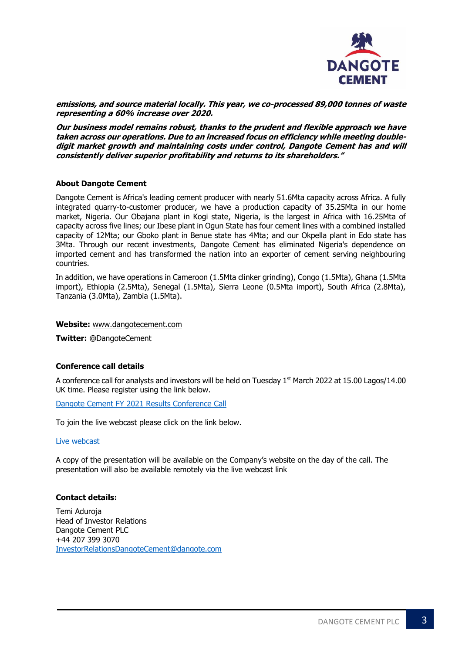

**emissions, and source material locally. This year, we co-processed 89,000 tonnes of waste representing a 60% increase over 2020.**

**Our business model remains robust, thanks to the prudent and flexible approach we have taken across our operations. Due to an increased focus on efficiency while meeting doubledigit market growth and maintaining costs under control, Dangote Cement has and will consistently deliver superior profitability and returns to its shareholders."**

# **About Dangote Cement**

Dangote Cement is Africa's leading cement producer with nearly 51.6Mta capacity across Africa. A fully integrated quarry-to-customer producer, we have a production capacity of 35.25Mta in our home market, Nigeria. Our Obajana plant in Kogi state, Nigeria, is the largest in Africa with 16.25Mta of capacity across five lines; our Ibese plant in Ogun State has four cement lines with a combined installed capacity of 12Mta; our Gboko plant in Benue state has 4Mta; and our Okpella plant in Edo state has 3Mta. Through our recent investments, Dangote Cement has eliminated Nigeria's dependence on imported cement and has transformed the nation into an exporter of cement serving neighbouring countries.

In addition, we have operations in Cameroon (1.5Mta clinker grinding), Congo (1.5Mta), Ghana (1.5Mta import), Ethiopia (2.5Mta), Senegal (1.5Mta), Sierra Leone (0.5Mta import), South Africa (2.8Mta), Tanzania (3.0Mta), Zambia (1.5Mta).

#### **Website:** [www.dangotecement.com](http://www.dangotecement.com/)

**Twitter:** @DangoteCement

#### **Conference call details**

A conference call for analysts and investors will be held on Tuesday 1<sup>st</sup> March 2022 at 15.00 Lagos/14.00 UK time. Please register using the link below.

# [Dangote Cement FY 2021](https://services.choruscall.za.com/DiamondPassRegistration/register?confirmationNumber=9899425&linkSecurityString=11c96dd645) Results Conference Call

To join the live webcast please click on the link below.

#### [Live webcast](https://services.choruscall.com/mediaframe/webcast.html?webcastid=YYyCYD4Y)

A copy of the presentation will be available on the Company's website on the day of the call. The presentation will also be available remotely via the live webcast link

#### **Contact details:**

Temi Aduroja Head of Investor Relations Dangote Cement PLC +44 207 399 3070 [InvestorRelationsDangoteCement@dangote.com](mailto:InvestorRelationsDangoteCement@dangote.com)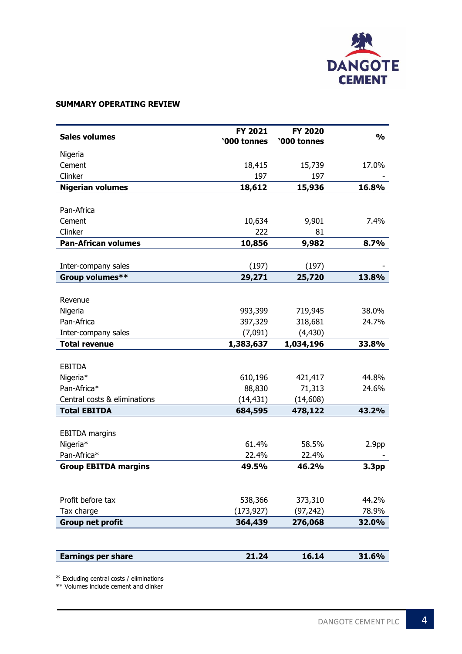

# **SUMMARY OPERATING REVIEW**

| <b>Sales volumes</b>         | FY 2021<br>'000 tonnes | <b>FY 2020</b><br>'000 tonnes | $\frac{0}{0}$     |
|------------------------------|------------------------|-------------------------------|-------------------|
| Nigeria                      |                        |                               |                   |
| Cement                       | 18,415                 | 15,739                        | 17.0%             |
| Clinker                      | 197                    | 197                           |                   |
| <b>Nigerian volumes</b>      | 18,612                 | 15,936                        | 16.8%             |
|                              |                        |                               |                   |
| Pan-Africa                   |                        |                               |                   |
| Cement                       | 10,634                 | 9,901                         | 7.4%              |
| Clinker                      | 222                    | 81                            |                   |
| <b>Pan-African volumes</b>   | 10,856                 | 9,982                         | 8.7%              |
|                              |                        |                               |                   |
| Inter-company sales          | (197)                  | (197)                         |                   |
| Group volumes**              | 29,271                 | 25,720                        | 13.8%             |
|                              |                        |                               |                   |
| Revenue                      |                        |                               |                   |
| Nigeria                      | 993,399                | 719,945                       | 38.0%             |
| Pan-Africa                   | 397,329                | 318,681                       | 24.7%             |
| Inter-company sales          | (7,091)                | (4, 430)                      |                   |
| <b>Total revenue</b>         | 1,383,637              | 1,034,196                     | 33.8%             |
|                              |                        |                               |                   |
| <b>EBITDA</b>                |                        |                               |                   |
| Nigeria*                     | 610,196                | 421,417                       | 44.8%             |
| Pan-Africa*                  | 88,830                 | 71,313                        | 24.6%             |
| Central costs & eliminations | (14, 431)              | (14, 608)                     |                   |
| <b>Total EBITDA</b>          | 684,595                | 478,122                       | 43.2%             |
|                              |                        |                               |                   |
| <b>EBITDA</b> margins        |                        |                               |                   |
| Nigeria*                     | 61.4%                  | 58.5%                         | 2.9 <sub>pp</sub> |
| Pan-Africa*                  | 22.4%                  | 22.4%                         |                   |
| <b>Group EBITDA margins</b>  | 49.5%                  | 46.2%                         | 3.3pp             |
|                              |                        |                               |                   |
|                              |                        |                               |                   |
| Profit before tax            | 538,366                | 373,310                       | 44.2%             |
| Tax charge                   | (173, 927)             | (97, 242)                     | 78.9%             |
| <b>Group net profit</b>      | 364,439                | 276,068                       | 32.0%             |
|                              |                        |                               |                   |
| <b>Earnings per share</b>    | 21.24                  | 16.14                         | 31.6%             |

\* Excluding central costs / eliminations

\*\* Volumes include cement and clinker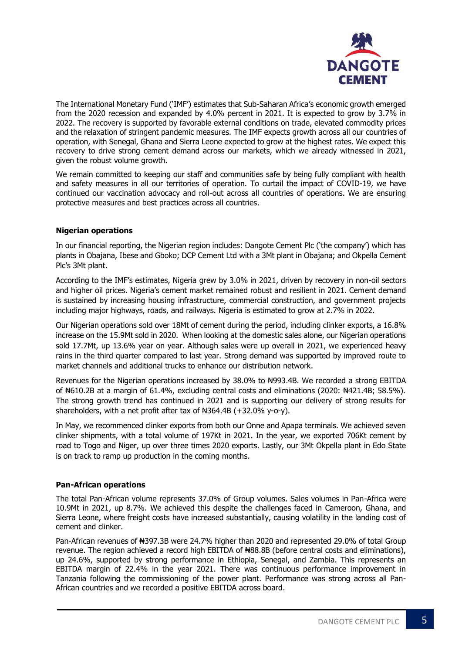

The International Monetary Fund ('IMF') estimates that Sub-Saharan Africa's economic growth emerged from the 2020 recession and expanded by 4.0% percent in 2021. It is expected to grow by 3.7% in 2022. The recovery is supported by favorable external conditions on trade, elevated commodity prices and the relaxation of stringent pandemic measures. The IMF expects growth across all our countries of operation, with Senegal, Ghana and Sierra Leone expected to grow at the highest rates. We expect this recovery to drive strong cement demand across our markets, which we already witnessed in 2021, given the robust volume growth.

We remain committed to keeping our staff and communities safe by being fully compliant with health and safety measures in all our territories of operation. To curtail the impact of COVID-19, we have continued our vaccination advocacy and roll-out across all countries of operations. We are ensuring protective measures and best practices across all countries.

# **Nigerian operations**

In our financial reporting, the Nigerian region includes: Dangote Cement Plc ('the company') which has plants in Obajana, Ibese and Gboko; DCP Cement Ltd with a 3Mt plant in Obajana; and Okpella Cement Plc's 3Mt plant.

According to the IMF's estimates, Nigeria grew by 3.0% in 2021, driven by recovery in non-oil sectors and higher oil prices. Nigeria's cement market remained robust and resilient in 2021. Cement demand is sustained by increasing housing infrastructure, commercial construction, and government projects including major highways, roads, and railways. Nigeria is estimated to grow at 2.7% in 2022.

Our Nigerian operations sold over 18Mt of cement during the period, including clinker exports, a 16.8% increase on the 15.9Mt sold in 2020. When looking at the domestic sales alone, our Nigerian operations sold 17.7Mt, up 13.6% year on year. Although sales were up overall in 2021, we experienced heavy rains in the third quarter compared to last year. Strong demand was supported by improved route to market channels and additional trucks to enhance our distribution network.

Revenues for the Nigerian operations increased by 38.0% to ₦993.4B. We recorded a strong EBITDA of #610.2B at a margin of 61.4%, excluding central costs and eliminations (2020: #421.4B; 58.5%). The strong growth trend has continued in 2021 and is supporting our delivery of strong results for shareholders, with a net profit after tax of  $#364.4B (+32.0\%$  v-o-v).

In May, we recommenced clinker exports from both our Onne and Apapa terminals. We achieved seven clinker shipments, with a total volume of 197Kt in 2021. In the year, we exported 706Kt cement by road to Togo and Niger, up over three times 2020 exports. Lastly, our 3Mt Okpella plant in Edo State is on track to ramp up production in the coming months.

# **Pan-African operations**

The total Pan-African volume represents 37.0% of Group volumes. Sales volumes in Pan-Africa were 10.9Mt in 2021, up 8.7%. We achieved this despite the challenges faced in Cameroon, Ghana, and Sierra Leone, where freight costs have increased substantially, causing volatility in the landing cost of cement and clinker.

Pan-African revenues of ₦397.3B were 24.7% higher than 2020 and represented 29.0% of total Group revenue. The region achieved a record high EBITDA of #88.8B (before central costs and eliminations), up 24.6%, supported by strong performance in Ethiopia, Senegal, and Zambia. This represents an EBITDA margin of 22.4% in the year 2021. There was continuous performance improvement in Tanzania following the commissioning of the power plant. Performance was strong across all Pan-African countries and we recorded a positive EBITDA across board.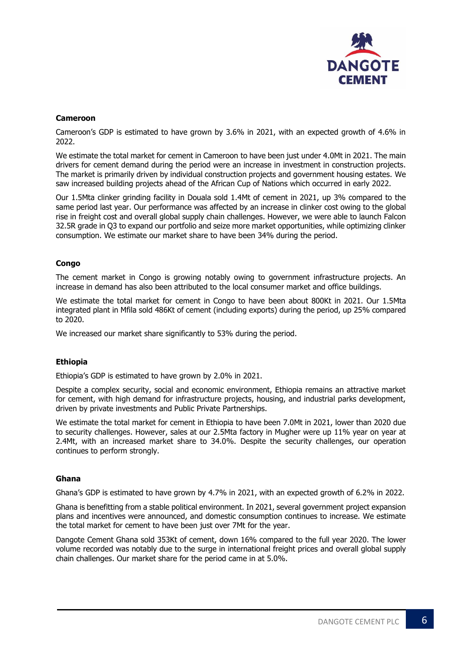

# **Cameroon**

Cameroon's GDP is estimated to have grown by 3.6% in 2021, with an expected growth of 4.6% in 2022.

We estimate the total market for cement in Cameroon to have been just under 4.0Mt in 2021. The main drivers for cement demand during the period were an increase in investment in construction projects. The market is primarily driven by individual construction projects and government housing estates. We saw increased building projects ahead of the African Cup of Nations which occurred in early 2022.

Our 1.5Mta clinker grinding facility in Douala sold 1.4Mt of cement in 2021, up 3% compared to the same period last year. Our performance was affected by an increase in clinker cost owing to the global rise in freight cost and overall global supply chain challenges. However, we were able to launch Falcon 32.5R grade in Q3 to expand our portfolio and seize more market opportunities, while optimizing clinker consumption. We estimate our market share to have been 34% during the period.

# **Congo**

The cement market in Congo is growing notably owing to government infrastructure projects. An increase in demand has also been attributed to the local consumer market and office buildings.

We estimate the total market for cement in Congo to have been about 800Kt in 2021. Our 1.5Mta integrated plant in Mfila sold 486Kt of cement (including exports) during the period, up 25% compared to 2020.

We increased our market share significantly to 53% during the period.

# **Ethiopia**

Ethiopia's GDP is estimated to have grown by 2.0% in 2021.

Despite a complex security, social and economic environment, Ethiopia remains an attractive market for cement, with high demand for infrastructure projects, housing, and industrial parks development, driven by private investments and Public Private Partnerships.

We estimate the total market for cement in Ethiopia to have been 7.0Mt in 2021, lower than 2020 due to security challenges. However, sales at our 2.5Mta factory in Mugher were up 11% year on year at 2.4Mt, with an increased market share to 34.0%. Despite the security challenges, our operation continues to perform strongly.

# **Ghana**

Ghana's GDP is estimated to have grown by 4.7% in 2021, with an expected growth of 6.2% in 2022.

Ghana is benefitting from a stable political environment. In 2021, several government project expansion plans and incentives were announced, and domestic consumption continues to increase. We estimate the total market for cement to have been just over 7Mt for the year.

Dangote Cement Ghana sold 353Kt of cement, down 16% compared to the full year 2020. The lower volume recorded was notably due to the surge in international freight prices and overall global supply chain challenges. Our market share for the period came in at 5.0%.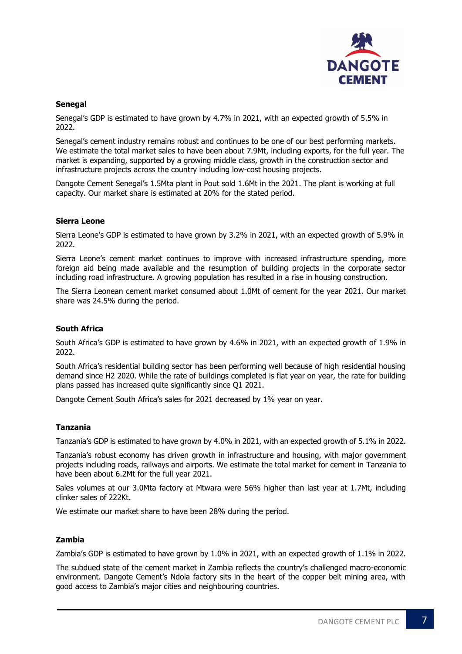

# **Senegal**

Senegal's GDP is estimated to have grown by 4.7% in 2021, with an expected growth of 5.5% in 2022.

Senegal's cement industry remains robust and continues to be one of our best performing markets. We estimate the total market sales to have been about 7.9Mt, including exports, for the full year. The market is expanding, supported by a growing middle class, growth in the construction sector and infrastructure projects across the country including low-cost housing projects.

Dangote Cement Senegal's 1.5Mta plant in Pout sold 1.6Mt in the 2021. The plant is working at full capacity. Our market share is estimated at 20% for the stated period.

#### **Sierra Leone**

Sierra Leone's GDP is estimated to have grown by 3.2% in 2021, with an expected growth of 5.9% in 2022.

Sierra Leone's cement market continues to improve with increased infrastructure spending, more foreign aid being made available and the resumption of building projects in the corporate sector including road infrastructure. A growing population has resulted in a rise in housing construction.

The Sierra Leonean cement market consumed about 1.0Mt of cement for the year 2021. Our market share was 24.5% during the period.

### **South Africa**

South Africa's GDP is estimated to have grown by 4.6% in 2021, with an expected growth of 1.9% in 2022.

South Africa's residential building sector has been performing well because of high residential housing demand since H2 2020. While the rate of buildings completed is flat year on year, the rate for building plans passed has increased quite significantly since Q1 2021.

Dangote Cement South Africa's sales for 2021 decreased by 1% year on year.

#### **Tanzania**

Tanzania's GDP is estimated to have grown by 4.0% in 2021, with an expected growth of 5.1% in 2022.

Tanzania's robust economy has driven growth in infrastructure and housing, with major government projects including roads, railways and airports. We estimate the total market for cement in Tanzania to have been about 6.2Mt for the full year 2021.

Sales volumes at our 3.0Mta factory at Mtwara were 56% higher than last year at 1.7Mt, including clinker sales of 222Kt.

We estimate our market share to have been 28% during the period.

# **Zambia**

Zambia's GDP is estimated to have grown by 1.0% in 2021, with an expected growth of 1.1% in 2022.

The subdued state of the cement market in Zambia reflects the country's challenged macro-economic environment. Dangote Cement's Ndola factory sits in the heart of the copper belt mining area, with good access to Zambia's major cities and neighbouring countries.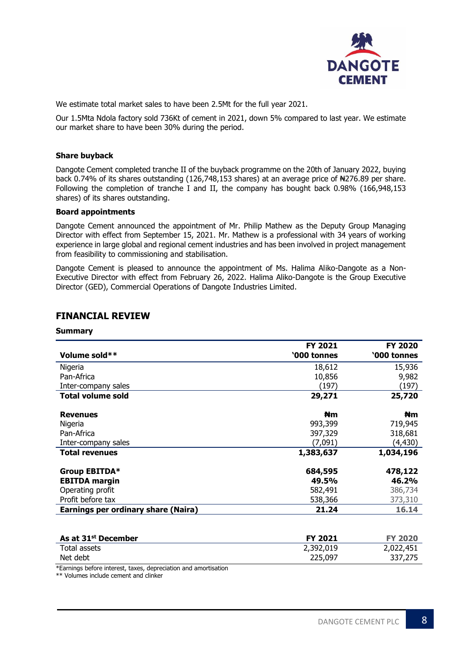

We estimate total market sales to have been 2.5Mt for the full year 2021.

Our 1.5Mta Ndola factory sold 736Kt of cement in 2021, down 5% compared to last year. We estimate our market share to have been 30% during the period.

#### **Share buyback**

Dangote Cement completed tranche II of the buyback programme on the 20th of January 2022, buying back 0.74% of its shares outstanding (126,748,153 shares) at an average price of N4276.89 per share. Following the completion of tranche I and II, the company has bought back 0.98% (166,948,153 shares) of its shares outstanding.

#### **Board appointments**

Dangote Cement announced the appointment of Mr. Philip Mathew as the Deputy Group Managing Director with effect from September 15, 2021. Mr. Mathew is a professional with 34 years of working experience in large global and regional cement industries and has been involved in project management from feasibility to commissioning and stabilisation.

Dangote Cement is pleased to announce the appointment of Ms. Halima Aliko-Dangote as a Non-Executive Director with effect from February 26, 2022. Halima Aliko-Dangote is the Group Executive Director (GED), Commercial Operations of Dangote Industries Limited.

|                                            | FY 2021     | FY 2020               |
|--------------------------------------------|-------------|-----------------------|
| Volume sold**                              | '000 tonnes | '000 tonnes           |
| Nigeria                                    | 18,612      | 15,936                |
| Pan-Africa                                 | 10,856      | 9,982                 |
| Inter-company sales                        | (197)       | (197)                 |
| <b>Total volume sold</b>                   | 29,271      | 25,720                |
| <b>Revenues</b>                            | ₩m          | <b>N</b> <sub>m</sub> |
| Nigeria                                    | 993,399     | 719,945               |
| Pan-Africa                                 | 397,329     | 318,681               |
| Inter-company sales                        | (7,091)     | (4,430)               |
| <b>Total revenues</b>                      | 1,383,637   | 1,034,196             |
| Group EBITDA*                              | 684,595     | 478,122               |
| <b>EBITDA</b> margin                       | 49.5%       | 46.2%                 |
| Operating profit                           | 582,491     | 386,734               |
| Profit before tax                          | 538,366     | 373,310               |
| <b>Earnings per ordinary share (Naira)</b> | 21.24       | 16.14                 |
|                                            |             |                       |
| As at 31 <sup>st</sup> December            | FY 2021     | <b>FY 2020</b>        |

Total assets 2,392,019 2,022,451 Net debt 225,097 337,275

# **FINANCIAL REVIEW**

**Summary**

| *Earnings before interest, taxes, depreciation and amortisation |
|-----------------------------------------------------------------|
|                                                                 |
| $**$ Volumna include coment and clinicar                        |

\*\* Volumes include cement and clinker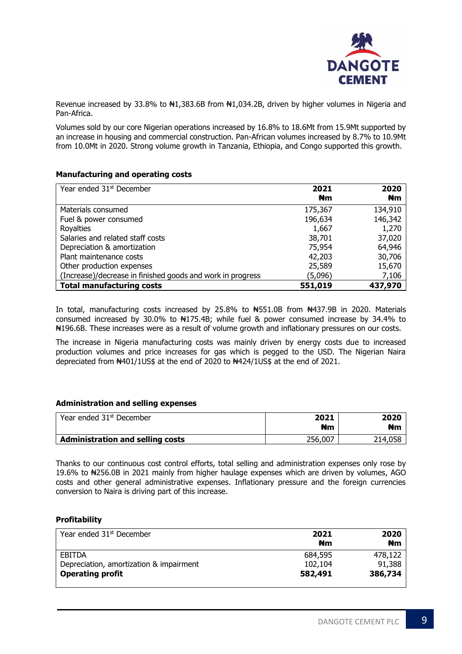

Revenue increased by 33.8% to  $\text{H1,383.6B}$  from  $\text{H1,034.2B}$ , driven by higher volumes in Nigeria and Pan-Africa.

Volumes sold by our core Nigerian operations increased by 16.8% to 18.6Mt from 15.9Mt supported by an increase in housing and commercial construction. Pan-African volumes increased by 8.7% to 10.9Mt from 10.0Mt in 2020. Strong volume growth in Tanzania, Ethiopia, and Congo supported this growth.

# **Manufacturing and operating costs**

| Year ended 31 <sup>st</sup> December                       | 2021<br>#m | 2020<br><b>N</b> <sub>m</sub> |
|------------------------------------------------------------|------------|-------------------------------|
| Materials consumed                                         | 175,367    | 134,910                       |
| Fuel & power consumed                                      | 196,634    | 146,342                       |
| <b>Royalties</b>                                           | 1,667      | 1,270                         |
| Salaries and related staff costs                           | 38,701     | 37,020                        |
| Depreciation & amortization                                | 75,954     | 64,946                        |
| Plant maintenance costs                                    | 42,203     | 30,706                        |
| Other production expenses                                  | 25,589     | 15,670                        |
| (Increase)/decrease in finished goods and work in progress | (5,096)    | 7,106                         |
| <b>Total manufacturing costs</b>                           | 551,019    | 437,970                       |

In total, manufacturing costs increased by 25.8% to #551.0B from #437.9B in 2020. Materials consumed increased by 30.0% to  $\frac{1}{2}$  +175.4B; while fuel & power consumed increase by 34.4% to ₦196.6B. These increases were as a result of volume growth and inflationary pressures on our costs.

The increase in Nigeria manufacturing costs was mainly driven by energy costs due to increased production volumes and price increases for gas which is pegged to the USD. The Nigerian Naira depreciated from  $\frac{1401}{105}$  at the end of 2020 to  $\frac{1424}{105}$  at the end of 2021.

#### **Administration and selling expenses**

| Year ended 31 <sup>st</sup> December    | 2021<br>₦m | 2020<br>₦m |
|-----------------------------------------|------------|------------|
| <b>Administration and selling costs</b> | 256,007    | 214,058    |

Thanks to our continuous cost control efforts, total selling and administration expenses only rose by 19.6% to ₦256.0B in 2021 mainly from higher haulage expenses which are driven by volumes, AGO costs and other general administrative expenses. Inflationary pressure and the foreign currencies conversion to Naira is driving part of this increase.

# **Profitability**

| Year ended 31 <sup>st</sup> December    | 2021    | 2020    |
|-----------------------------------------|---------|---------|
|                                         | ₩m      | ₩m      |
| EBITDA                                  | 684,595 | 478,122 |
| Depreciation, amortization & impairment | 102,104 | 91,388  |
| <b>Operating profit</b>                 | 582,491 | 386,734 |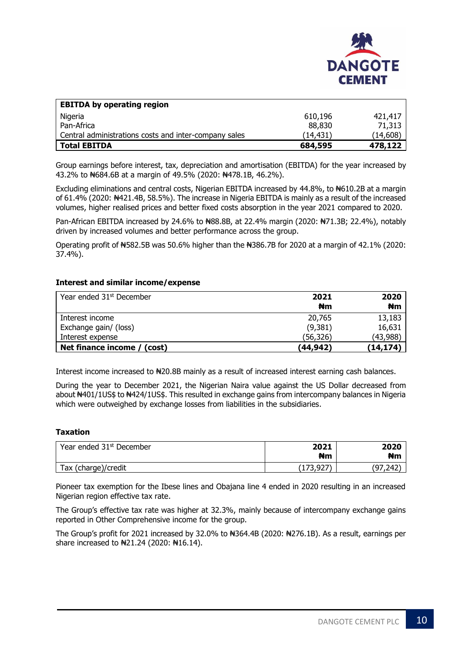

| <b>EBITDA by operating region</b>                     |          |           |
|-------------------------------------------------------|----------|-----------|
| Nigeria                                               | 610,196  | 421,417   |
| Pan-Africa                                            | 88,830   | 71,313    |
| Central administrations costs and inter-company sales | (14,431) | (14, 608) |
| <b>Total EBITDA</b>                                   | 684,595  | 478,122   |

Group earnings before interest, tax, depreciation and amortisation (EBITDA) for the year increased by 43.2% to ₦684.6B at a margin of 49.5% (2020: ₦478.1B, 46.2%).

Excluding eliminations and central costs, Nigerian EBITDA increased by 44.8%, to N610.2B at a margin of 61.4% (2020: ₦421.4B, 58.5%). The increase in Nigeria EBITDA is mainly as a result of the increased volumes, higher realised prices and better fixed costs absorption in the year 2021 compared to 2020.

Pan-African EBITDA increased by 24.6% to N88.8B, at 22.4% margin (2020: N71.3B; 22.4%), notably driven by increased volumes and better performance across the group.

Operating profit of  $#582.5B$  was 50.6% higher than the  $#386.7B$  for 2020 at a margin of 42.1% (2020: 37.4%).

#### **Interest and similar income/expense**

| Year ended 31 <sup>st</sup> December     | 2021<br>₩m        | 2020<br>₩m       |
|------------------------------------------|-------------------|------------------|
| Interest income<br>Exchange gain/ (loss) | 20,765<br>(9,381) | 13,183<br>16,631 |
| Interest expense                         | (56,326)          | (43, 988)        |
| Net finance income / (cost)              | (44,942)          | (14, 174)        |

Interest income increased to  $\frac{1}{20.8B}$  mainly as a result of increased interest earning cash balances.

During the year to December 2021, the Nigerian Naira value against the US Dollar decreased from about N401/1US\$ to N424/1US\$. This resulted in exchange gains from intercompany balances in Nigeria which were outweighed by exchange losses from liabilities in the subsidiaries.

#### **Taxation**

| Year ended 31 <sup>st</sup> December | 2021<br>Nm | 2020<br>Nm   |
|--------------------------------------|------------|--------------|
| Tax (charge)/credit                  | (173, 927) | (97)<br>242, |

Pioneer tax exemption for the Ibese lines and Obajana line 4 ended in 2020 resulting in an increased Nigerian region effective tax rate.

The Group's effective tax rate was higher at 32.3%, mainly because of intercompany exchange gains reported in Other Comprehensive income for the group.

The Group's profit for 2021 increased by 32.0% to N364.4B (2020: N276.1B). As a result, earnings per share increased to  $\frac{121.24}{2020}$ :  $\frac{116.14}{2000}$ .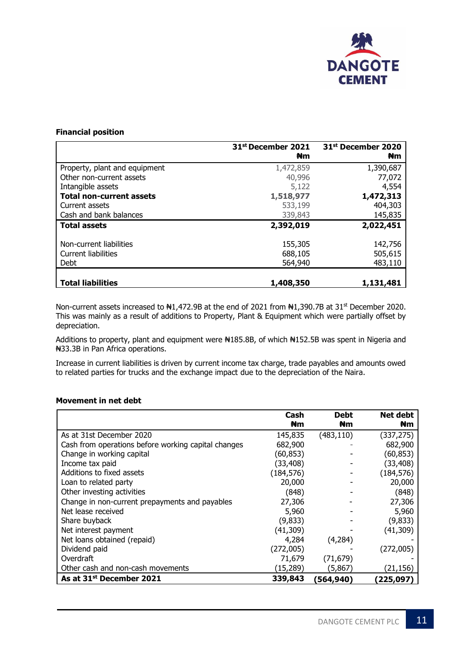

# **Financial position**

|                                 | 31 <sup>st</sup> December 2021 | 31 <sup>st</sup> December 2020 |
|---------------------------------|--------------------------------|--------------------------------|
|                                 | #m                             | #m                             |
| Property, plant and equipment   | 1,472,859                      | 1,390,687                      |
| Other non-current assets        | 40,996                         | 77,072                         |
| Intangible assets               | 5,122                          | 4,554                          |
| <b>Total non-current assets</b> | 1,518,977                      | 1,472,313                      |
| Current assets                  | 533,199                        | 404,303                        |
| Cash and bank balances          | 339,843                        | 145,835                        |
| <b>Total assets</b>             | 2,392,019                      | 2,022,451                      |
| Non-current liabilities         | 155,305                        | 142,756                        |
| Current liabilities             | 688,105                        | 505,615                        |
| Debt                            | 564,940                        | 483,110                        |
|                                 |                                |                                |
| <b>Total liabilities</b>        | 1,408,350                      | 1,131,481                      |

Non-current assets increased to N1,472.9B at the end of 2021 from N1,390.7B at 31<sup>st</sup> December 2020. This was mainly as a result of additions to Property, Plant & Equipment which were partially offset by depreciation.

Additions to property, plant and equipment were  $\text{H}185.8\text{B}$ , of which  $\text{H}152.5\text{B}$  was spent in Nigeria and ₦33.3B in Pan Africa operations.

Increase in current liabilities is driven by current income tax charge, trade payables and amounts owed to related parties for trucks and the exchange impact due to the depreciation of the Naira.

# **Movement in net debt**

|                                                     | Cash<br>#m | <b>Debt</b><br>₩m | Net debt<br>#m |
|-----------------------------------------------------|------------|-------------------|----------------|
| As at 31st December 2020                            | 145,835    | (483, 110)        | (337, 275)     |
| Cash from operations before working capital changes | 682,900    |                   | 682,900        |
| Change in working capital                           | (60,853)   |                   | (60, 853)      |
| Income tax paid                                     | (33, 408)  |                   | (33,408)       |
| Additions to fixed assets                           | (184, 576) |                   | (184, 576)     |
| Loan to related party                               | 20,000     |                   | 20,000         |
| Other investing activities                          | (848)      |                   | (848)          |
| Change in non-current prepayments and payables      | 27,306     |                   | 27,306         |
| Net lease received                                  | 5,960      |                   | 5,960          |
| Share buyback                                       | (9,833)    |                   | (9,833)        |
| Net interest payment                                | (41, 309)  |                   | (41,309)       |
| Net loans obtained (repaid)                         | 4,284      | (4,284)           |                |
| Dividend paid                                       | (272,005)  |                   | (272,005)      |
| Overdraft                                           | 71,679     | (71, 679)         |                |
| Other cash and non-cash movements                   | (15, 289)  | (5,867)           | (21,156)       |
| As at 31 <sup>st</sup> December 2021                | 339,843    | (564,940)         | (225, 097)     |